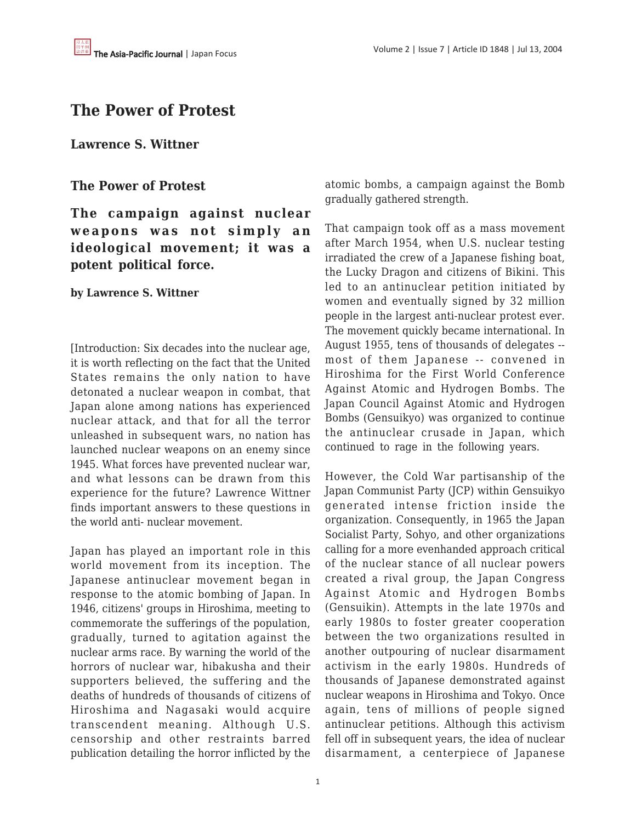# **The Power of Protest**

**Lawrence S. Wittner**

## **The Power of Protest**

**The campaign against nuclear weapons was not simply an ideological movement; it was a potent political force.**

### **by Lawrence S. Wittner**

[Introduction: Six decades into the nuclear age, it is worth reflecting on the fact that the United States remains the only nation to have detonated a nuclear weapon in combat, that Japan alone among nations has experienced nuclear attack, and that for all the terror unleashed in subsequent wars, no nation has launched nuclear weapons on an enemy since 1945. What forces have prevented nuclear war, and what lessons can be drawn from this experience for the future? Lawrence Wittner finds important answers to these questions in the world anti- nuclear movement.

Japan has played an important role in this world movement from its inception. The Japanese antinuclear movement began in response to the atomic bombing of Japan. In 1946, citizens' groups in Hiroshima, meeting to commemorate the sufferings of the population, gradually, turned to agitation against the nuclear arms race. By warning the world of the horrors of nuclear war, hibakusha and their supporters believed, the suffering and the deaths of hundreds of thousands of citizens of Hiroshima and Nagasaki would acquire transcendent meaning. Although U.S. censorship and other restraints barred publication detailing the horror inflicted by the atomic bombs, a campaign against the Bomb gradually gathered strength.

That campaign took off as a mass movement after March 1954, when U.S. nuclear testing irradiated the crew of a Japanese fishing boat, the Lucky Dragon and citizens of Bikini. This led to an antinuclear petition initiated by women and eventually signed by 32 million people in the largest anti-nuclear protest ever. The movement quickly became international. In August 1955, tens of thousands of delegates - most of them Japanese -- convened in Hiroshima for the First World Conference Against Atomic and Hydrogen Bombs. The Japan Council Against Atomic and Hydrogen Bombs (Gensuikyo) was organized to continue the antinuclear crusade in Japan, which continued to rage in the following years.

However, the Cold War partisanship of the Japan Communist Party (JCP) within Gensuikyo generated intense friction inside the organization. Consequently, in 1965 the Japan Socialist Party, Sohyo, and other organizations calling for a more evenhanded approach critical of the nuclear stance of all nuclear powers created a rival group, the Japan Congress Against Atomic and Hydrogen Bombs (Gensuikin). Attempts in the late 1970s and early 1980s to foster greater cooperation between the two organizations resulted in another outpouring of nuclear disarmament activism in the early 1980s. Hundreds of thousands of Japanese demonstrated against nuclear weapons in Hiroshima and Tokyo. Once again, tens of millions of people signed antinuclear petitions. Although this activism fell off in subsequent years, the idea of nuclear disarmament, a centerpiece of Japanese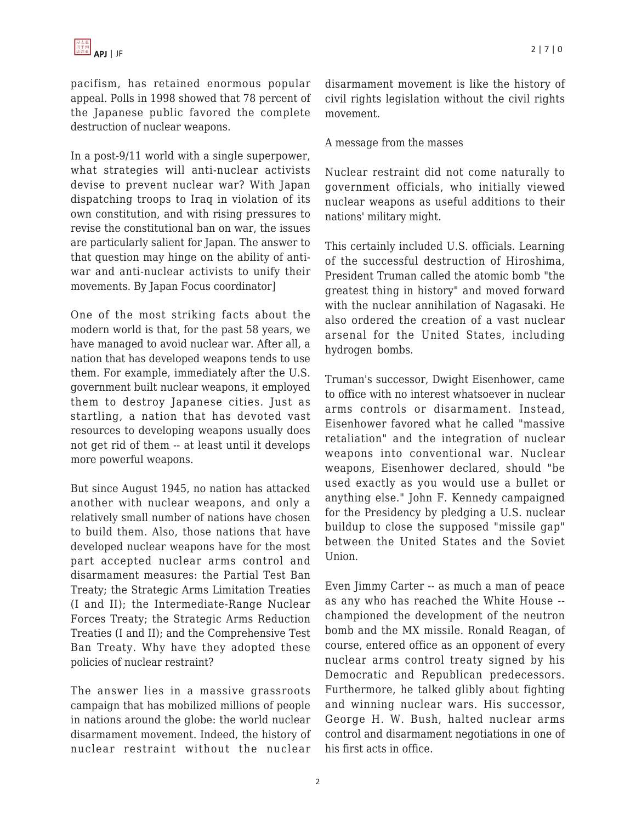pacifism, has retained enormous popular appeal. Polls in 1998 showed that 78 percent of the Japanese public favored the complete destruction of nuclear weapons.

In a post-9/11 world with a single superpower, what strategies will anti-nuclear activists devise to prevent nuclear war? With Japan dispatching troops to Iraq in violation of its own constitution, and with rising pressures to revise the constitutional ban on war, the issues are particularly salient for Japan. The answer to that question may hinge on the ability of antiwar and anti-nuclear activists to unify their movements. By Japan Focus coordinator]

One of the most striking facts about the modern world is that, for the past 58 years, we have managed to avoid nuclear war. After all, a nation that has developed weapons tends to use them. For example, immediately after the U.S. government built nuclear weapons, it employed them to destroy Japanese cities. Just as startling, a nation that has devoted vast resources to developing weapons usually does not get rid of them -- at least until it develops more powerful weapons.

But since August 1945, no nation has attacked another with nuclear weapons, and only a relatively small number of nations have chosen to build them. Also, those nations that have developed nuclear weapons have for the most part accepted nuclear arms control and disarmament measures: the Partial Test Ban Treaty; the Strategic Arms Limitation Treaties (I and II); the Intermediate-Range Nuclear Forces Treaty; the Strategic Arms Reduction Treaties (I and II); and the Comprehensive Test Ban Treaty. Why have they adopted these policies of nuclear restraint?

The answer lies in a massive grassroots campaign that has mobilized millions of people in nations around the globe: the world nuclear disarmament movement. Indeed, the history of nuclear restraint without the nuclear disarmament movement is like the history of civil rights legislation without the civil rights movement.

#### A message from the masses

Nuclear restraint did not come naturally to government officials, who initially viewed nuclear weapons as useful additions to their nations' military might.

This certainly included U.S. officials. Learning of the successful destruction of Hiroshima, President Truman called the atomic bomb "the greatest thing in history" and moved forward with the nuclear annihilation of Nagasaki. He also ordered the creation of a vast nuclear arsenal for the United States, including hydrogen bombs.

Truman's successor, Dwight Eisenhower, came to office with no interest whatsoever in nuclear arms controls or disarmament. Instead, Eisenhower favored what he called "massive retaliation" and the integration of nuclear weapons into conventional war. Nuclear weapons, Eisenhower declared, should "be used exactly as you would use a bullet or anything else." John F. Kennedy campaigned for the Presidency by pledging a U.S. nuclear buildup to close the supposed "missile gap" between the United States and the Soviet Union.

Even Jimmy Carter -- as much a man of peace as any who has reached the White House - championed the development of the neutron bomb and the MX missile. Ronald Reagan, of course, entered office as an opponent of every nuclear arms control treaty signed by his Democratic and Republican predecessors. Furthermore, he talked glibly about fighting and winning nuclear wars. His successor, George H. W. Bush, halted nuclear arms control and disarmament negotiations in one of his first acts in office.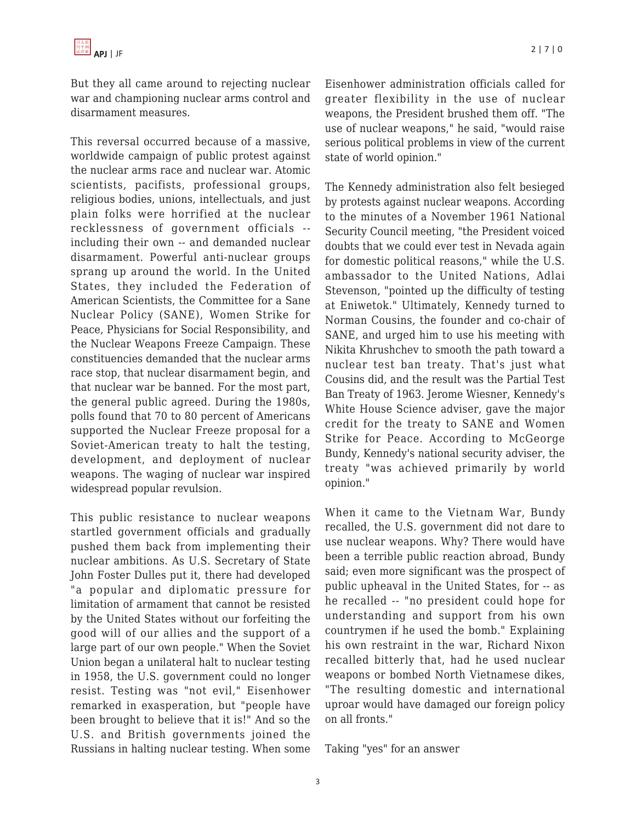But they all came around to rejecting nuclear war and championing nuclear arms control and disarmament measures.

This reversal occurred because of a massive, worldwide campaign of public protest against the nuclear arms race and nuclear war. Atomic scientists, pacifists, professional groups, religious bodies, unions, intellectuals, and just plain folks were horrified at the nuclear recklessness of government officials - including their own -- and demanded nuclear disarmament. Powerful anti-nuclear groups sprang up around the world. In the United States, they included the Federation of American Scientists, the Committee for a Sane Nuclear Policy (SANE), Women Strike for Peace, Physicians for Social Responsibility, and the Nuclear Weapons Freeze Campaign. These constituencies demanded that the nuclear arms race stop, that nuclear disarmament begin, and that nuclear war be banned. For the most part, the general public agreed. During the 1980s, polls found that 70 to 80 percent of Americans supported the Nuclear Freeze proposal for a Soviet-American treaty to halt the testing, development, and deployment of nuclear weapons. The waging of nuclear war inspired widespread popular revulsion.

This public resistance to nuclear weapons startled government officials and gradually pushed them back from implementing their nuclear ambitions. As U.S. Secretary of State John Foster Dulles put it, there had developed "a popular and diplomatic pressure for limitation of armament that cannot be resisted by the United States without our forfeiting the good will of our allies and the support of a large part of our own people." When the Soviet Union began a unilateral halt to nuclear testing in 1958, the U.S. government could no longer resist. Testing was "not evil," Eisenhower remarked in exasperation, but "people have been brought to believe that it is!" And so the U.S. and British governments joined the Russians in halting nuclear testing. When some Eisenhower administration officials called for greater flexibility in the use of nuclear weapons, the President brushed them off. "The use of nuclear weapons," he said, "would raise serious political problems in view of the current state of world opinion."

The Kennedy administration also felt besieged by protests against nuclear weapons. According to the minutes of a November 1961 National Security Council meeting, "the President voiced doubts that we could ever test in Nevada again for domestic political reasons," while the U.S. ambassador to the United Nations, Adlai Stevenson, "pointed up the difficulty of testing at Eniwetok." Ultimately, Kennedy turned to Norman Cousins, the founder and co-chair of SANE, and urged him to use his meeting with Nikita Khrushchev to smooth the path toward a nuclear test ban treaty. That's just what Cousins did, and the result was the Partial Test Ban Treaty of 1963. Jerome Wiesner, Kennedy's White House Science adviser, gave the major credit for the treaty to SANE and Women Strike for Peace. According to McGeorge Bundy, Kennedy's national security adviser, the treaty "was achieved primarily by world opinion."

When it came to the Vietnam War, Bundy recalled, the U.S. government did not dare to use nuclear weapons. Why? There would have been a terrible public reaction abroad, Bundy said; even more significant was the prospect of public upheaval in the United States, for -- as he recalled -- "no president could hope for understanding and support from his own countrymen if he used the bomb." Explaining his own restraint in the war, Richard Nixon recalled bitterly that, had he used nuclear weapons or bombed North Vietnamese dikes, "The resulting domestic and international uproar would have damaged our foreign policy on all fronts."

Taking "yes" for an answer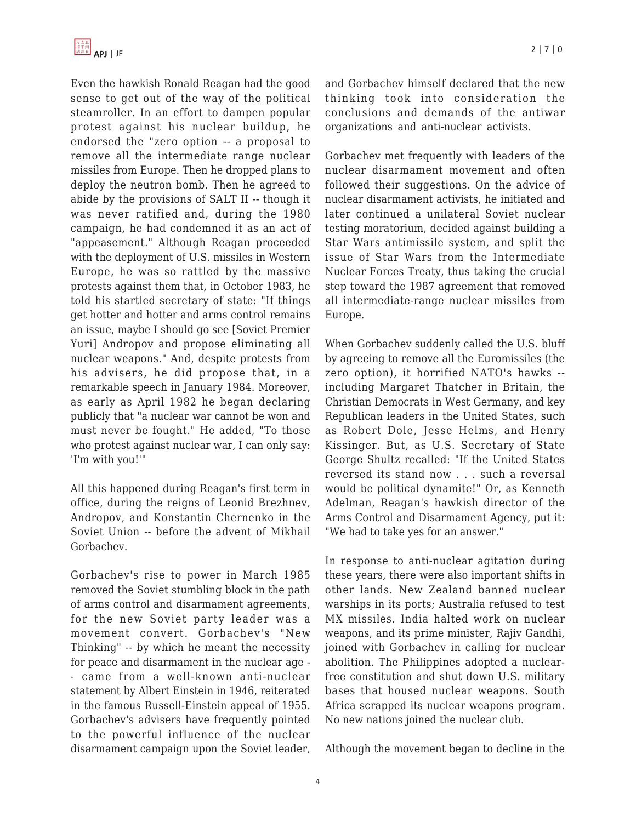Even the hawkish Ronald Reagan had the good sense to get out of the way of the political steamroller. In an effort to dampen popular protest against his nuclear buildup, he endorsed the "zero option -- a proposal to remove all the intermediate range nuclear missiles from Europe. Then he dropped plans to deploy the neutron bomb. Then he agreed to abide by the provisions of SALT II -- though it was never ratified and, during the 1980 campaign, he had condemned it as an act of "appeasement." Although Reagan proceeded with the deployment of U.S. missiles in Western Europe, he was so rattled by the massive protests against them that, in October 1983, he told his startled secretary of state: "If things get hotter and hotter and arms control remains an issue, maybe I should go see [Soviet Premier Yuri] Andropov and propose eliminating all nuclear weapons." And, despite protests from his advisers, he did propose that, in a remarkable speech in January 1984. Moreover, as early as April 1982 he began declaring publicly that "a nuclear war cannot be won and must never be fought." He added, "To those who protest against nuclear war, I can only say: 'I'm with you!'"

All this happened during Reagan's first term in office, during the reigns of Leonid Brezhnev, Andropov, and Konstantin Chernenko in the Soviet Union -- before the advent of Mikhail Gorbachev.

Gorbachev's rise to power in March 1985 removed the Soviet stumbling block in the path of arms control and disarmament agreements, for the new Soviet party leader was a movement convert. Gorbachev's "New Thinking" -- by which he meant the necessity for peace and disarmament in the nuclear age - - came from a well-known anti-nuclear statement by Albert Einstein in 1946, reiterated in the famous Russell-Einstein appeal of 1955. Gorbachev's advisers have frequently pointed to the powerful influence of the nuclear disarmament campaign upon the Soviet leader, and Gorbachev himself declared that the new thinking took into consideration the conclusions and demands of the antiwar organizations and anti-nuclear activists.

Gorbachev met frequently with leaders of the nuclear disarmament movement and often followed their suggestions. On the advice of nuclear disarmament activists, he initiated and later continued a unilateral Soviet nuclear testing moratorium, decided against building a Star Wars antimissile system, and split the issue of Star Wars from the Intermediate Nuclear Forces Treaty, thus taking the crucial step toward the 1987 agreement that removed all intermediate-range nuclear missiles from Europe.

When Gorbachev suddenly called the U.S. bluff by agreeing to remove all the Euromissiles (the zero option), it horrified NATO's hawks - including Margaret Thatcher in Britain, the Christian Democrats in West Germany, and key Republican leaders in the United States, such as Robert Dole, Jesse Helms, and Henry Kissinger. But, as U.S. Secretary of State George Shultz recalled: "If the United States reversed its stand now . . . such a reversal would be political dynamite!" Or, as Kenneth Adelman, Reagan's hawkish director of the Arms Control and Disarmament Agency, put it: "We had to take yes for an answer."

In response to anti-nuclear agitation during these years, there were also important shifts in other lands. New Zealand banned nuclear warships in its ports; Australia refused to test MX missiles. India halted work on nuclear weapons, and its prime minister, Rajiv Gandhi, joined with Gorbachev in calling for nuclear abolition. The Philippines adopted a nuclearfree constitution and shut down U.S. military bases that housed nuclear weapons. South Africa scrapped its nuclear weapons program. No new nations joined the nuclear club.

Although the movement began to decline in the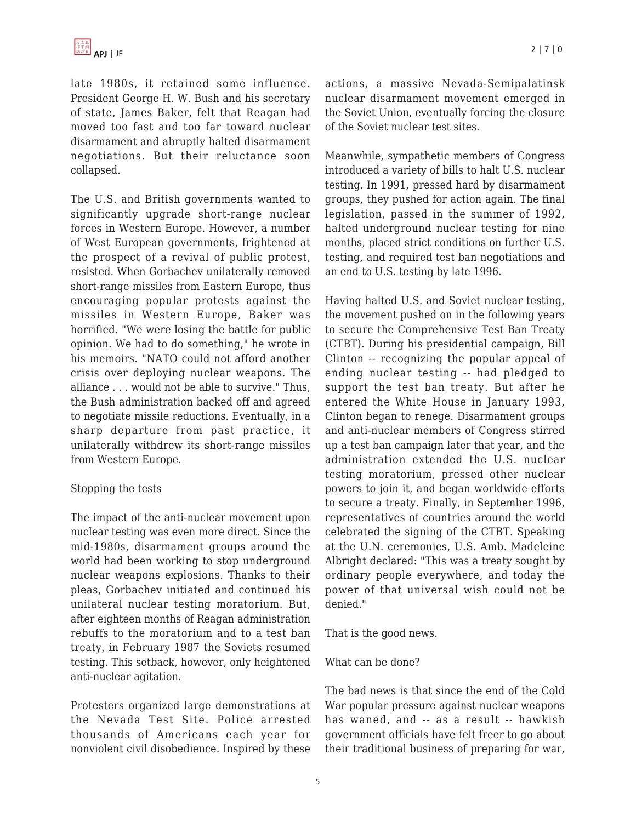late 1980s, it retained some influence. President George H. W. Bush and his secretary of state, James Baker, felt that Reagan had moved too fast and too far toward nuclear disarmament and abruptly halted disarmament negotiations. But their reluctance soon collapsed.

The U.S. and British governments wanted to significantly upgrade short-range nuclear forces in Western Europe. However, a number of West European governments, frightened at the prospect of a revival of public protest, resisted. When Gorbachev unilaterally removed short-range missiles from Eastern Europe, thus encouraging popular protests against the missiles in Western Europe, Baker was horrified. "We were losing the battle for public opinion. We had to do something," he wrote in his memoirs. "NATO could not afford another crisis over deploying nuclear weapons. The alliance . . . would not be able to survive." Thus, the Bush administration backed off and agreed to negotiate missile reductions. Eventually, in a sharp departure from past practice, it unilaterally withdrew its short-range missiles from Western Europe.

## Stopping the tests

The impact of the anti-nuclear movement upon nuclear testing was even more direct. Since the mid-1980s, disarmament groups around the world had been working to stop underground nuclear weapons explosions. Thanks to their pleas, Gorbachev initiated and continued his unilateral nuclear testing moratorium. But, after eighteen months of Reagan administration rebuffs to the moratorium and to a test ban treaty, in February 1987 the Soviets resumed testing. This setback, however, only heightened anti-nuclear agitation.

Protesters organized large demonstrations at the Nevada Test Site. Police arrested thousands of Americans each year for nonviolent civil disobedience. Inspired by these actions, a massive Nevada-Semipalatinsk nuclear disarmament movement emerged in the Soviet Union, eventually forcing the closure of the Soviet nuclear test sites.

Meanwhile, sympathetic members of Congress introduced a variety of bills to halt U.S. nuclear testing. In 1991, pressed hard by disarmament groups, they pushed for action again. The final legislation, passed in the summer of 1992, halted underground nuclear testing for nine months, placed strict conditions on further U.S. testing, and required test ban negotiations and an end to U.S. testing by late 1996.

Having halted U.S. and Soviet nuclear testing, the movement pushed on in the following years to secure the Comprehensive Test Ban Treaty (CTBT). During his presidential campaign, Bill Clinton -- recognizing the popular appeal of ending nuclear testing -- had pledged to support the test ban treaty. But after he entered the White House in January 1993, Clinton began to renege. Disarmament groups and anti-nuclear members of Congress stirred up a test ban campaign later that year, and the administration extended the U.S. nuclear testing moratorium, pressed other nuclear powers to join it, and began worldwide efforts to secure a treaty. Finally, in September 1996, representatives of countries around the world celebrated the signing of the CTBT. Speaking at the U.N. ceremonies, U.S. Amb. Madeleine Albright declared: "This was a treaty sought by ordinary people everywhere, and today the power of that universal wish could not be denied."

That is the good news.

## What can be done?

The bad news is that since the end of the Cold War popular pressure against nuclear weapons has waned, and -- as a result -- hawkish government officials have felt freer to go about their traditional business of preparing for war,